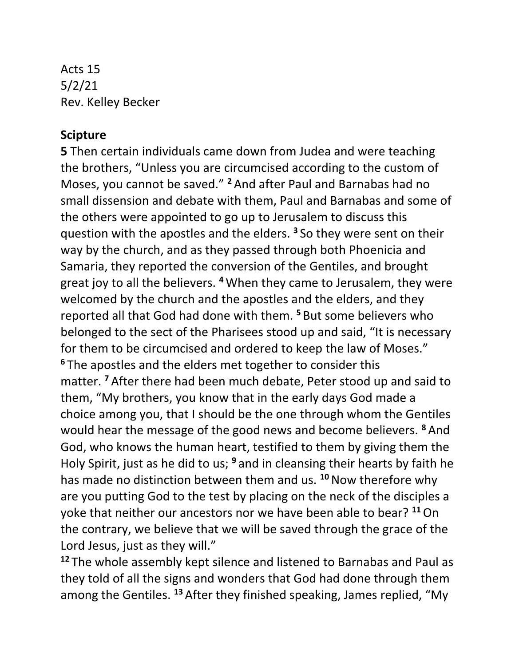Acts 15 5/2/21 Rev. Kelley Becker

## **Scipture**

**5** Then certain individuals came down from Judea and were teaching the brothers, "Unless you are circumcised according to the custom of Moses, you cannot be saved." **<sup>2</sup>** And after Paul and Barnabas had no small dissension and debate with them, Paul and Barnabas and some of the others were appointed to go up to Jerusalem to discuss this question with the apostles and the elders. **<sup>3</sup>** So they were sent on their way by the church, and as they passed through both Phoenicia and Samaria, they reported the conversion of the Gentiles, and brought great joy to all the believers. **<sup>4</sup>** When they came to Jerusalem, they were welcomed by the church and the apostles and the elders, and they reported all that God had done with them. **<sup>5</sup>** But some believers who belonged to the sect of the Pharisees stood up and said, "It is necessary for them to be circumcised and ordered to keep the law of Moses." **<sup>6</sup>** The apostles and the elders met together to consider this matter. **<sup>7</sup>** After there had been much debate, Peter stood up and said to them, "My brothers, you know that in the early days God made a choice among you, that I should be the one through whom the Gentiles would hear the message of the good news and become believers. **<sup>8</sup>** And God, who knows the human heart, testified to them by giving them the Holy Spirit, just as he did to us; **<sup>9</sup>** and in cleansing their hearts by faith he has made no distinction between them and us. **<sup>10</sup>**Now therefore why are you putting God to the test by placing on the neck of the disciples a yoke that neither our ancestors nor we have been able to bear? **<sup>11</sup>**On the contrary, we believe that we will be saved through the grace of the Lord Jesus, just as they will."

**<sup>12</sup>** The whole assembly kept silence and listened to Barnabas and Paul as they told of all the signs and wonders that God had done through them among the Gentiles. **<sup>13</sup>** After they finished speaking, James replied, "My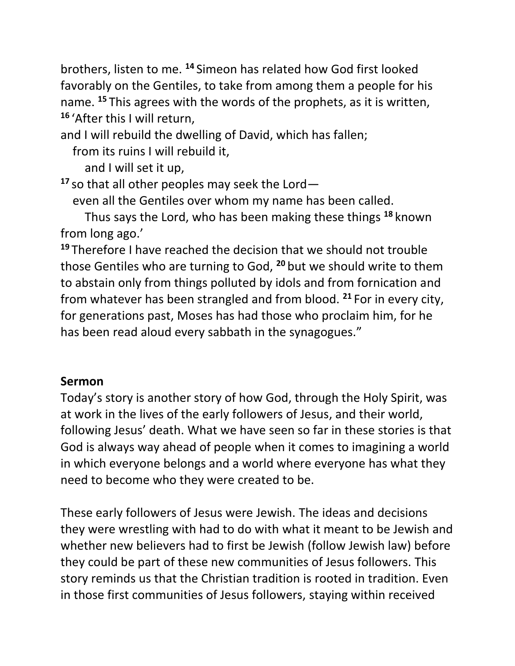brothers, listen to me. **<sup>14</sup>** Simeon has related how God first looked favorably on the Gentiles, to take from among them a people for his name. **<sup>15</sup>** This agrees with the words of the prophets, as it is written, **<sup>16</sup>** 'After this I will return,

and I will rebuild the dwelling of David, which has fallen;

from its ruins I will rebuild it,

and I will set it up,

**<sup>17</sup>** so that all other peoples may seek the Lord—

even all the Gentiles over whom my name has been called.

 Thus says the Lord, who has been making these things **<sup>18</sup>** known from long ago.'

**<sup>19</sup>** Therefore I have reached the decision that we should not trouble those Gentiles who are turning to God, **<sup>20</sup>** but we should write to them to abstain only from things polluted by idols and from fornication and from whatever has been strangled and from blood. **<sup>21</sup>** For in every city, for generations past, Moses has had those who proclaim him, for he has been read aloud every sabbath in the synagogues."

## **Sermon**

Today's story is another story of how God, through the Holy Spirit, was at work in the lives of the early followers of Jesus, and their world, following Jesus' death. What we have seen so far in these stories is that God is always way ahead of people when it comes to imagining a world in which everyone belongs and a world where everyone has what they need to become who they were created to be.

These early followers of Jesus were Jewish. The ideas and decisions they were wrestling with had to do with what it meant to be Jewish and whether new believers had to first be Jewish (follow Jewish law) before they could be part of these new communities of Jesus followers. This story reminds us that the Christian tradition is rooted in tradition. Even in those first communities of Jesus followers, staying within received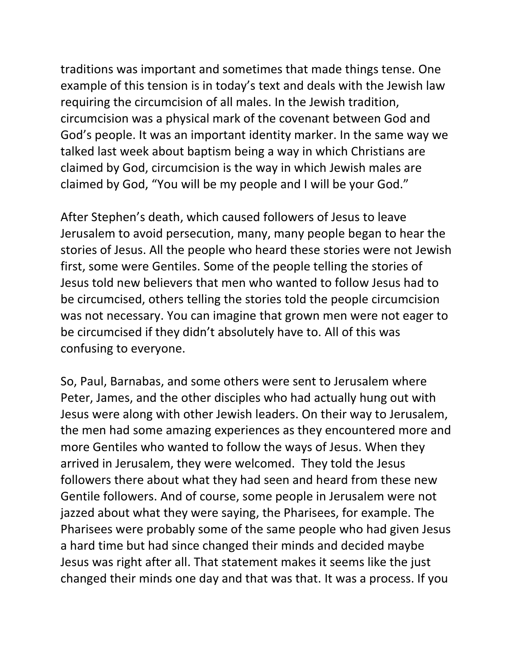traditions was important and sometimes that made things tense. One example of this tension is in today's text and deals with the Jewish law requiring the circumcision of all males. In the Jewish tradition, circumcision was a physical mark of the covenant between God and God's people. It was an important identity marker. In the same way we talked last week about baptism being a way in which Christians are claimed by God, circumcision is the way in which Jewish males are claimed by God, "You will be my people and I will be your God."

After Stephen's death, which caused followers of Jesus to leave Jerusalem to avoid persecution, many, many people began to hear the stories of Jesus. All the people who heard these stories were not Jewish first, some were Gentiles. Some of the people telling the stories of Jesus told new believers that men who wanted to follow Jesus had to be circumcised, others telling the stories told the people circumcision was not necessary. You can imagine that grown men were not eager to be circumcised if they didn't absolutely have to. All of this was confusing to everyone.

So, Paul, Barnabas, and some others were sent to Jerusalem where Peter, James, and the other disciples who had actually hung out with Jesus were along with other Jewish leaders. On their way to Jerusalem, the men had some amazing experiences as they encountered more and more Gentiles who wanted to follow the ways of Jesus. When they arrived in Jerusalem, they were welcomed. They told the Jesus followers there about what they had seen and heard from these new Gentile followers. And of course, some people in Jerusalem were not jazzed about what they were saying, the Pharisees, for example. The Pharisees were probably some of the same people who had given Jesus a hard time but had since changed their minds and decided maybe Jesus was right after all. That statement makes it seems like the just changed their minds one day and that was that. It was a process. If you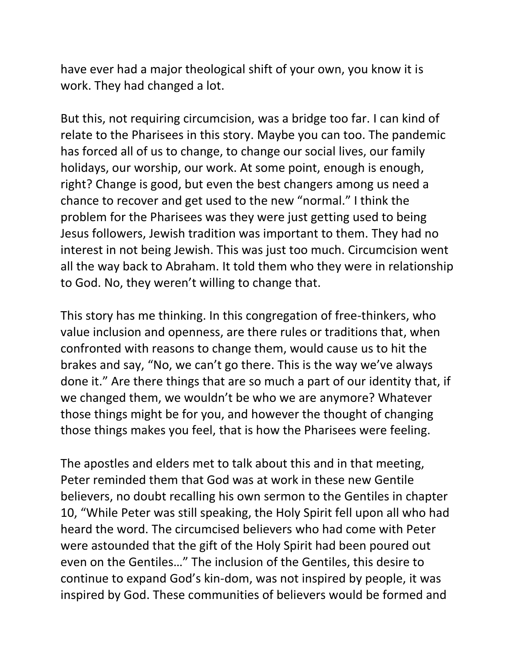have ever had a major theological shift of your own, you know it is work. They had changed a lot.

But this, not requiring circumcision, was a bridge too far. I can kind of relate to the Pharisees in this story. Maybe you can too. The pandemic has forced all of us to change, to change our social lives, our family holidays, our worship, our work. At some point, enough is enough, right? Change is good, but even the best changers among us need a chance to recover and get used to the new "normal." I think the problem for the Pharisees was they were just getting used to being Jesus followers, Jewish tradition was important to them. They had no interest in not being Jewish. This was just too much. Circumcision went all the way back to Abraham. It told them who they were in relationship to God. No, they weren't willing to change that.

This story has me thinking. In this congregation of free-thinkers, who value inclusion and openness, are there rules or traditions that, when confronted with reasons to change them, would cause us to hit the brakes and say, "No, we can't go there. This is the way we've always done it." Are there things that are so much a part of our identity that, if we changed them, we wouldn't be who we are anymore? Whatever those things might be for you, and however the thought of changing those things makes you feel, that is how the Pharisees were feeling.

The apostles and elders met to talk about this and in that meeting, Peter reminded them that God was at work in these new Gentile believers, no doubt recalling his own sermon to the Gentiles in chapter 10, "While Peter was still speaking, the Holy Spirit fell upon all who had heard the word. The circumcised believers who had come with Peter were astounded that the gift of the Holy Spirit had been poured out even on the Gentiles…" The inclusion of the Gentiles, this desire to continue to expand God's kin-dom, was not inspired by people, it was inspired by God. These communities of believers would be formed and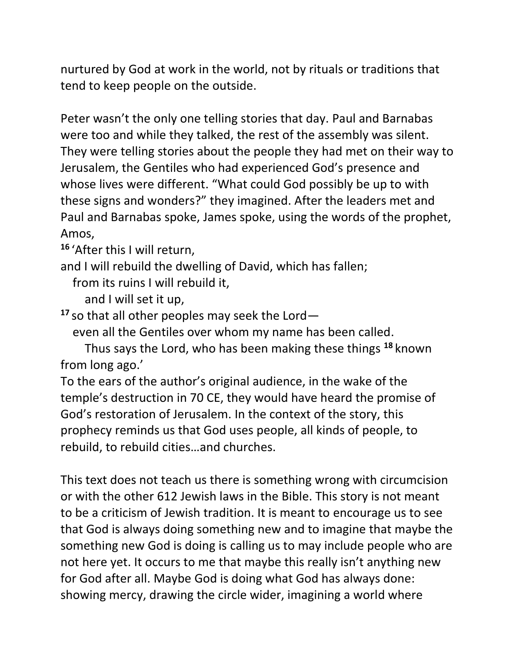nurtured by God at work in the world, not by rituals or traditions that tend to keep people on the outside.

Peter wasn't the only one telling stories that day. Paul and Barnabas were too and while they talked, the rest of the assembly was silent. They were telling stories about the people they had met on their way to Jerusalem, the Gentiles who had experienced God's presence and whose lives were different. "What could God possibly be up to with these signs and wonders?" they imagined. After the leaders met and Paul and Barnabas spoke, James spoke, using the words of the prophet, Amos,

**<sup>16</sup>** 'After this I will return,

and I will rebuild the dwelling of David, which has fallen;

from its ruins I will rebuild it,

and I will set it up,

**<sup>17</sup>** so that all other peoples may seek the Lord—

even all the Gentiles over whom my name has been called.

 Thus says the Lord, who has been making these things **<sup>18</sup>** known from long ago.'

To the ears of the author's original audience, in the wake of the temple's destruction in 70 CE, they would have heard the promise of God's restoration of Jerusalem. In the context of the story, this prophecy reminds us that God uses people, all kinds of people, to rebuild, to rebuild cities…and churches.

This text does not teach us there is something wrong with circumcision or with the other 612 Jewish laws in the Bible. This story is not meant to be a criticism of Jewish tradition. It is meant to encourage us to see that God is always doing something new and to imagine that maybe the something new God is doing is calling us to may include people who are not here yet. It occurs to me that maybe this really isn't anything new for God after all. Maybe God is doing what God has always done: showing mercy, drawing the circle wider, imagining a world where